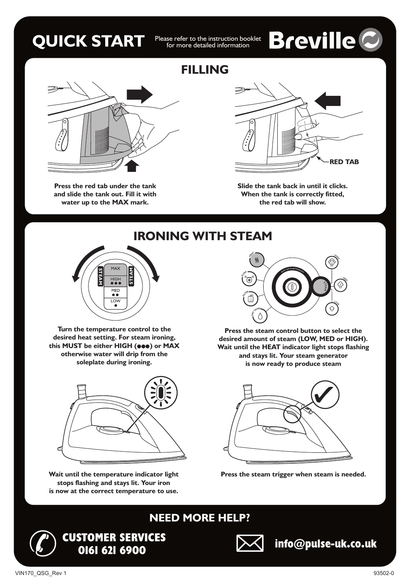### **QUICK START** Please refer to the instruction booklet

for more detailed information

# **Breville C**



**Press the red tab under the tank and slide the tank out. Fill it with water up to the MAX mark.**

### **FILLING**



**Slide the tank back in until it clicks. When the tank is correctly fitted, the red tab will show.**

**IRONING WITH STEAM** MAX **STEA MSTEA** HIGH **M** MED  $\overline{10M}$ 

**Turn the temperature control to the desired heat setting. For steam ironing,** this MUST be either HIGH (**eee**) or MAX **otherwise water will drip from the soleplate during ironing.**



**Wait until the temperature indicator light stops flashing and stays lit. Your iron is now at the correct temperature to use.**



**Press the steam control button to select the desired amount of steam (LOW, MED or HIGH). Wait until the HEAT indicator light stops flashing and stays lit. Your steam generator is now ready to produce steam**



**Press the steam trigger when steam is needed.**



**CUSTOMER SERVICES**

### **NEED MORE HELP?**